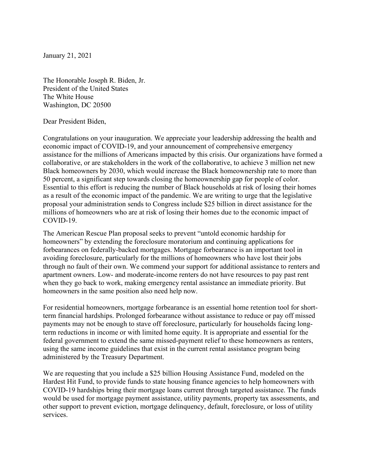January 21, 2021

The Honorable Joseph R. Biden, Jr. President of the United States The White House Washington, DC 20500

Dear President Biden,

Congratulations on your inauguration. We appreciate your leadership addressing the health and economic impact of COVID-19, and your announcement of comprehensive emergency assistance for the millions of Americans impacted by this crisis. Our organizations have formed a collaborative, or are stakeholders in the work of the collaborative, to achieve 3 million net new Black homeowners by 2030, which would increase the Black homeownership rate to more than 50 percent, a significant step towards closing the homeownership gap for people of color. Essential to this effort is reducing the number of Black households at risk of losing their homes as a result of the economic impact of the pandemic. We are writing to urge that the legislative proposal your administration sends to Congress include \$25 billion in direct assistance for the millions of homeowners who are at risk of losing their homes due to the economic impact of COVID-19.

The American Rescue Plan proposal seeks to prevent "untold economic hardship for homeowners" by extending the foreclosure moratorium and continuing applications for forbearances on federally-backed mortgages. Mortgage forbearance is an important tool in avoiding foreclosure, particularly for the millions of homeowners who have lost their jobs through no fault of their own. We commend your support for additional assistance to renters and apartment owners. Low- and moderate-income renters do not have resources to pay past rent when they go back to work, making emergency rental assistance an immediate priority. But homeowners in the same position also need help now.

For residential homeowners, mortgage forbearance is an essential home retention tool for shortterm financial hardships. Prolonged forbearance without assistance to reduce or pay off missed payments may not be enough to stave off foreclosure, particularly for households facing longterm reductions in income or with limited home equity. It is appropriate and essential for the federal government to extend the same missed-payment relief to these homeowners as renters, using the same income guidelines that exist in the current rental assistance program being administered by the Treasury Department.

We are requesting that you include a \$25 billion Housing Assistance Fund, modeled on the Hardest Hit Fund, to provide funds to state housing finance agencies to help homeowners with COVID-19 hardships bring their mortgage loans current through targeted assistance. The funds would be used for mortgage payment assistance, utility payments, property tax assessments, and other support to prevent eviction, mortgage delinquency, default, foreclosure, or loss of utility services.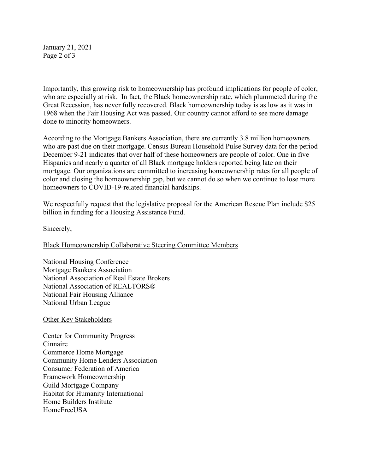January 21, 2021 Page 2 of 3

Importantly, this growing risk to homeownership has profound implications for people of color, who are especially at risk. In fact, the Black homeownership rate, which plummeted during the Great Recession, has never fully recovered. Black homeownership today is as low as it was in 1968 when the Fair Housing Act was passed. Our country cannot afford to see more damage done to minority homeowners.

According to the Mortgage Bankers Association, there are currently 3.8 million homeowners who are past due on their mortgage. Census Bureau Household Pulse Survey data for the period December 9-21 indicates that over half of these homeowners are people of color. One in five Hispanics and nearly a quarter of all Black mortgage holders reported being late on their mortgage. Our organizations are committed to increasing homeownership rates for all people of color and closing the homeownership gap, but we cannot do so when we continue to lose more homeowners to COVID-19-related financial hardships.

We respectfully request that the legislative proposal for the American Rescue Plan include \$25 billion in funding for a Housing Assistance Fund.

Sincerely,

Black Homeownership Collaborative Steering Committee Members

National Housing Conference Mortgage Bankers Association National Association of Real Estate Brokers National Association of REALTORS® National Fair Housing Alliance National Urban League

## Other Key Stakeholders

Center for Community Progress Cinnaire Commerce Home Mortgage Community Home Lenders Association Consumer Federation of America Framework Homeownership Guild Mortgage Company Habitat for Humanity International Home Builders Institute **HomeFreeUSA**